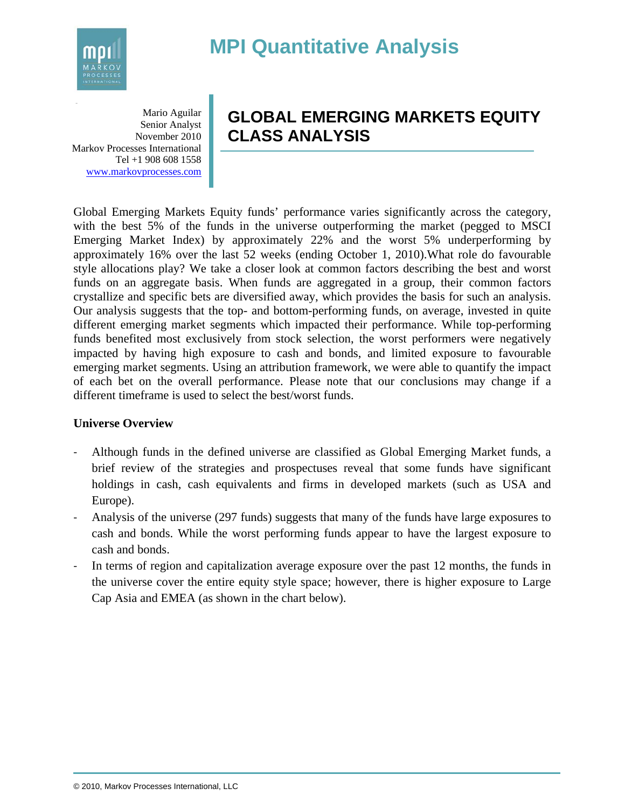# **MPI Quantitative Analysis**



**a**  Mario Aguilar Senior Analyst November 2010 Markov Processes International Tel +1 908 608 1558 www.markovprocesses.com

# **GLOBAL EMERGING MARKETS EQUITY CLASS ANALYSIS**

Global Emerging Markets Equity funds' performance varies significantly across the category, with the best 5% of the funds in the universe outperforming the market (pegged to MSCI Emerging Market Index) by approximately 22% and the worst 5% underperforming by approximately 16% over the last 52 weeks (ending October 1, 2010).What role do favourable style allocations play? We take a closer look at common factors describing the best and worst funds on an aggregate basis. When funds are aggregated in a group, their common factors crystallize and specific bets are diversified away, which provides the basis for such an analysis. Our analysis suggests that the top- and bottom-performing funds, on average, invested in quite different emerging market segments which impacted their performance. While top-performing funds benefited most exclusively from stock selection, the worst performers were negatively impacted by having high exposure to cash and bonds, and limited exposure to favourable emerging market segments. Using an attribution framework, we were able to quantify the impact of each bet on the overall performance. Please note that our conclusions may change if a different timeframe is used to select the best/worst funds.

## **Universe Overview**

- ‐ Although funds in the defined universe are classified as Global Emerging Market funds, a brief review of the strategies and prospectuses reveal that some funds have significant holdings in cash, cash equivalents and firms in developed markets (such as USA and Europe).
- ‐ Analysis of the universe (297 funds) suggests that many of the funds have large exposures to cash and bonds. While the worst performing funds appear to have the largest exposure to cash and bonds.
- In terms of region and capitalization average exposure over the past 12 months, the funds in the universe cover the entire equity style space; however, there is higher exposure to Large Cap Asia and EMEA (as shown in the chart below).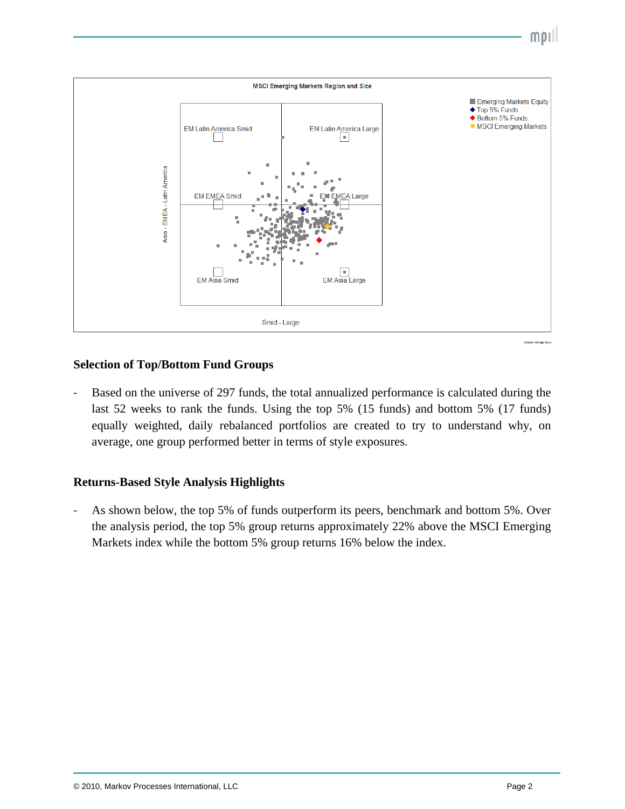

#### **Selection of Top/Bottom Fund Groups**

 $\overline{a}$ 

Based on the universe of 297 funds, the total annualized performance is calculated during the last 52 weeks to rank the funds. Using the top 5% (15 funds) and bottom 5% (17 funds) equally weighted, daily rebalanced portfolios are created to try to understand why, on average, one group performed better in terms of style exposures.

## **Returns-Based Style Analysis Highlights**

As shown below, the top 5% of funds outperform its peers, benchmark and bottom 5%. Over the analysis period, the top 5% group returns approximately 22% above the MSCI Emerging Markets index while the bottom 5% group returns 16% below the index.

 $mol<sub>1</sub>$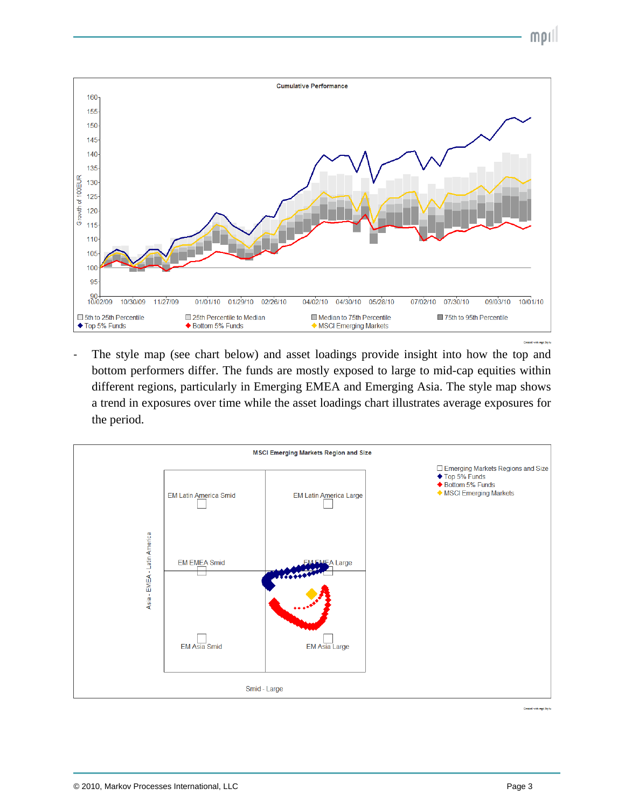



The style map (see chart below) and asset loadings provide insight into how the top and bottom performers differ. The funds are mostly exposed to large to mid-cap equities within different regions, particularly in Emerging EMEA and Emerging Asia. The style map shows a trend in exposures over time while the asset loadings chart illustrates average exposures for the period.



Created with mpi Stylu

 $\overline{a}$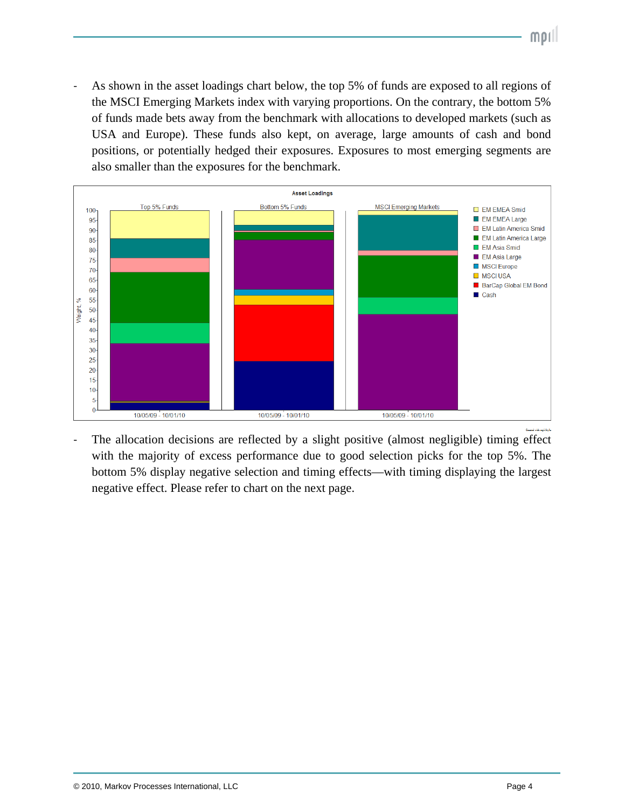As shown in the asset loadings chart below, the top 5% of funds are exposed to all regions of the MSCI Emerging Markets index with varying proportions. On the contrary, the bottom 5% of funds made bets away from the benchmark with allocations to developed markets (such as USA and Europe). These funds also kept, on average, large amounts of cash and bond positions, or potentially hedged their exposures. Exposures to most emerging segments are also smaller than the exposures for the benchmark.



The allocation decisions are reflected by a slight positive (almost negligible) timing effect with the majority of excess performance due to good selection picks for the top 5%. The bottom 5% display negative selection and timing effects—with timing displaying the largest negative effect. Please refer to chart on the next page.

 $\overline{a}$ 

 $mol<sub>l</sub>$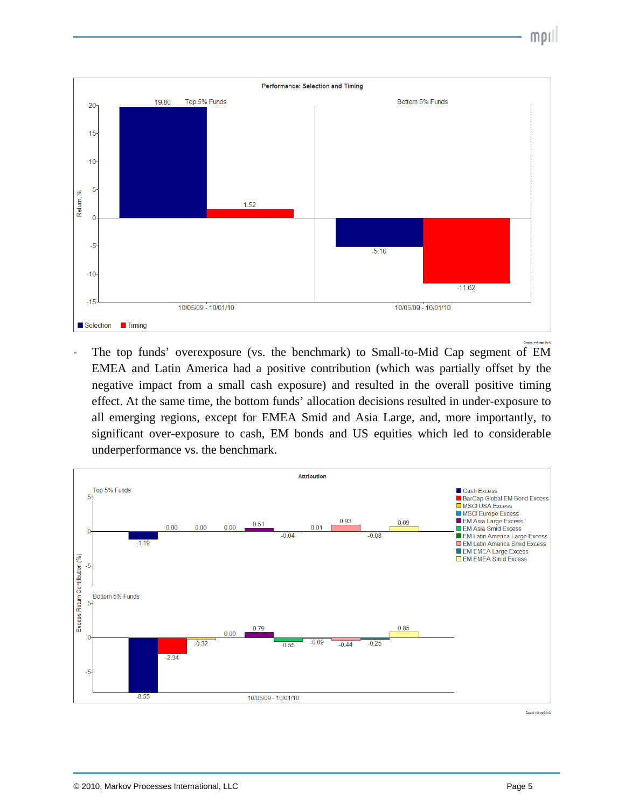



The top funds' overexposure (vs. the benchmark) to Small-to-Mid Cap segment of EM EMEA and Latin America had a positive contribution (which was partially offset by the negative impact from a small cash exposure) and resulted in the overall positive timing effect. At the same time, the bottom funds' allocation decisions resulted in under-exposure to all emerging regions, except for EMEA Smid and Asia Large, and, more importantly, to significant over-exposure to cash, EM bonds and US equities which led to considerable underperformance vs. the benchmark.



 $\overline{a}$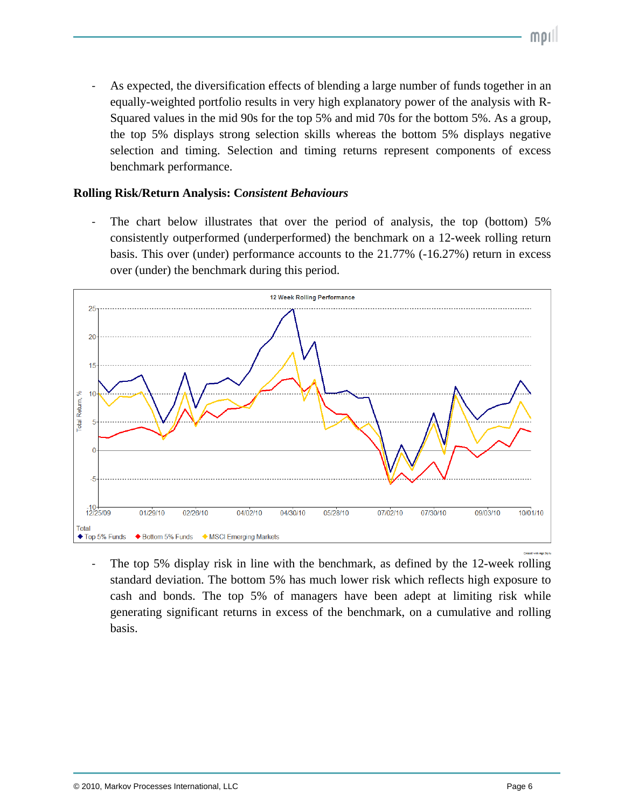As expected, the diversification effects of blending a large number of funds together in an equally-weighted portfolio results in very high explanatory power of the analysis with R-Squared values in the mid 90s for the top 5% and mid 70s for the bottom 5%. As a group, the top 5% displays strong selection skills whereas the bottom 5% displays negative selection and timing. Selection and timing returns represent components of excess benchmark performance.

#### **Rolling Risk/Return Analysis: C***onsistent Behaviours*

 $\overline{a}$ 

The chart below illustrates that over the period of analysis, the top (bottom) 5% consistently outperformed (underperformed) the benchmark on a 12-week rolling return basis. This over (under) performance accounts to the 21.77% (-16.27%) return in excess over (under) the benchmark during this period.



The top 5% display risk in line with the benchmark, as defined by the 12-week rolling standard deviation. The bottom 5% has much lower risk which reflects high exposure to cash and bonds. The top 5% of managers have been adept at limiting risk while generating significant returns in excess of the benchmark, on a cumulative and rolling basis.

morl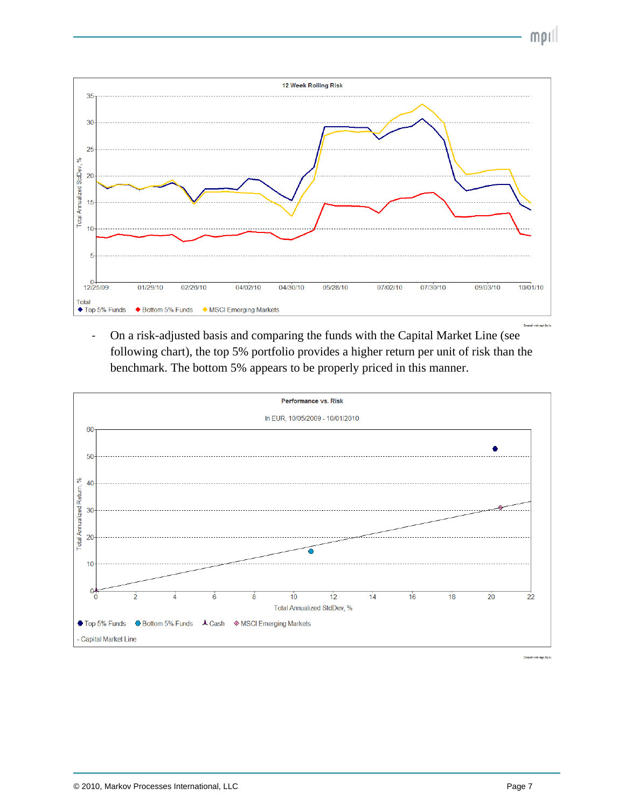$\text{mol}$ 



‐ On a risk-adjusted basis and comparing the funds with the Capital Market Line (see following chart), the top 5% portfolio provides a higher return per unit of risk than the benchmark. The bottom 5% appears to be properly priced in this manner.



Created with mpi Stylu

 $\overline{a}$